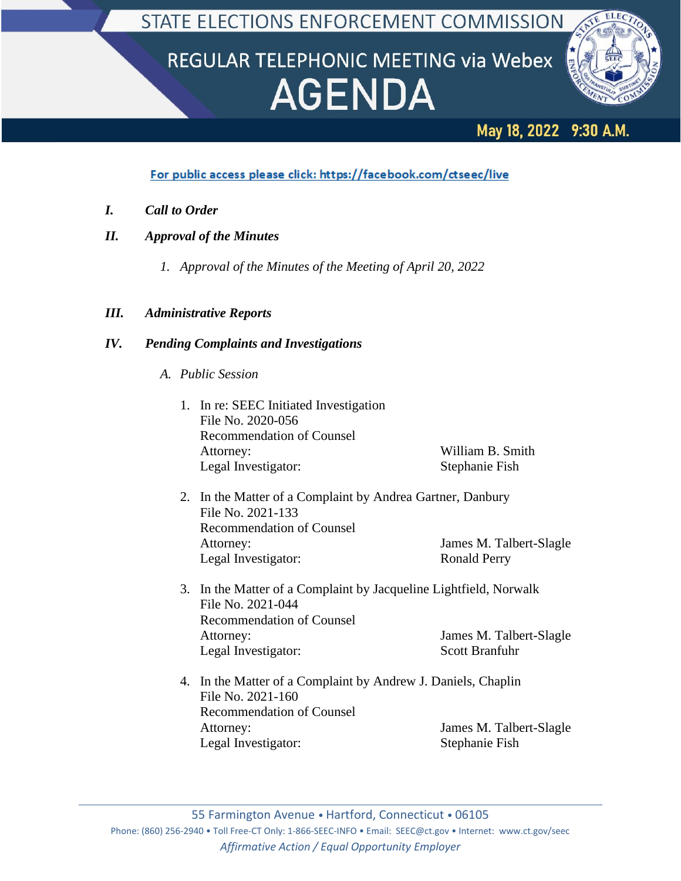# REGULAR TELEPHONIC MEETING via Webex **AGENDA**



# May 18, 2022 9:30 A.M.

For public access please click: https://facebook.com/ctseec/live

- *I. Call to Order*
- *II. Approval of the Minutes*
	- *1. Approval of the Minutes of the Meeting of April 20, 2022*

## *III. Administrative Reports*

## *IV. Pending Complaints and Investigations*

- *A. Public Session*
	- 1. In re: SEEC Initiated Investigation File No. 2020-056 Recommendation of Counsel Attorney: William B. Smith Legal Investigator: Stephanie Fish
	- 2. In the Matter of a Complaint by Andrea Gartner, Danbury File No. 2021-133 Recommendation of Counsel Attorney: James M. Talbert-Slagle Legal Investigator: Ronald Perry
	- 3. In the Matter of a Complaint by Jacqueline Lightfield, Norwalk File No. 2021-044 Recommendation of Counsel Attorney: James M. Talbert-Slagle Legal Investigator: Scott Branfuhr
	- 4. In the Matter of a Complaint by Andrew J. Daniels, Chaplin File No. 2021-160 Recommendation of Counsel Attorney: James M. Talbert-Slagle Legal Investigator: Stephanie Fish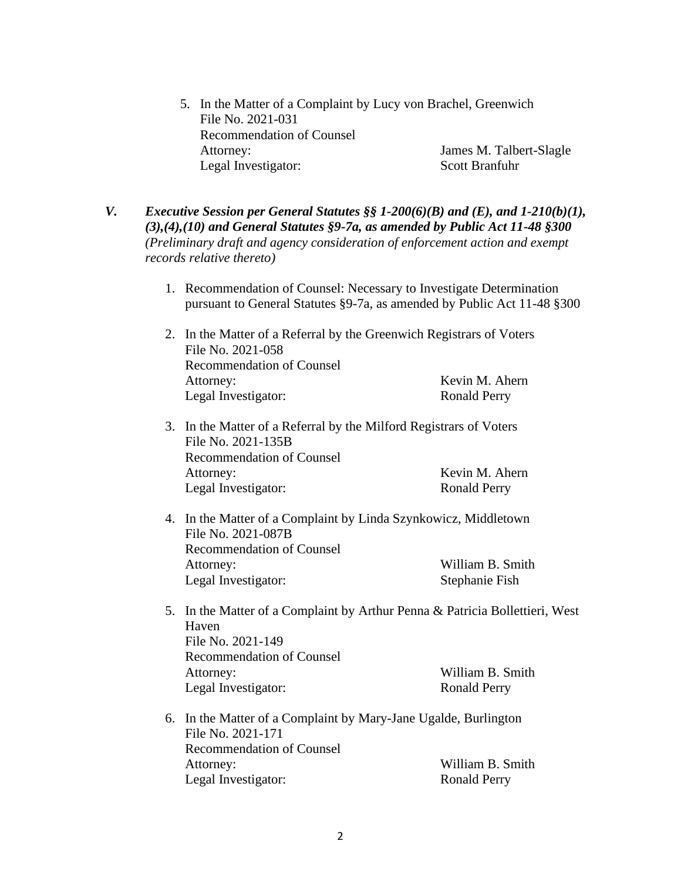- 5. In the Matter of a Complaint by Lucy von Brachel, Greenwich File No. 2021-031 Recommendation of Counsel Attorney: James M. Talbert-Slagle Legal Investigator: Scott Branfuhr
- *V. Executive Session per General Statutes §§ 1-200(6)(B) and (E), and 1-210(b)(1), (3),(4),(10) and General Statutes §9-7a, as amended by Public Act 11-48 §300 (Preliminary draft and agency consideration of enforcement action and exempt records relative thereto)*
	- 1. Recommendation of Counsel: Necessary to Investigate Determination pursuant to General Statutes §9-7a, as amended by Public Act 11-48 §300
	- 2. In the Matter of a Referral by the Greenwich Registrars of Voters File No. 2021-058 Recommendation of Counsel Attorney: Kevin M. Ahern Legal Investigator: Ronald Perry
	- 3. In the Matter of a Referral by the Milford Registrars of Voters File No. 2021-135B Recommendation of Counsel Attorney: Kevin M. Ahern Legal Investigator: Ronald Perry
	- 4. In the Matter of a Complaint by Linda Szynkowicz, Middletown File No. 2021-087B Recommendation of Counsel Attorney: William B. Smith Legal Investigator: Stephanie Fish
	- 5. In the Matter of a Complaint by Arthur Penna & Patricia Bollettieri, West Haven File No. 2021-149 Recommendation of Counsel Attorney: William B. Smith Legal Investigator: Ronald Perry
	- 6. In the Matter of a Complaint by Mary-Jane Ugalde, Burlington File No. 2021-171 Recommendation of Counsel Attorney: William B. Smith Legal Investigator: Ronald Perry